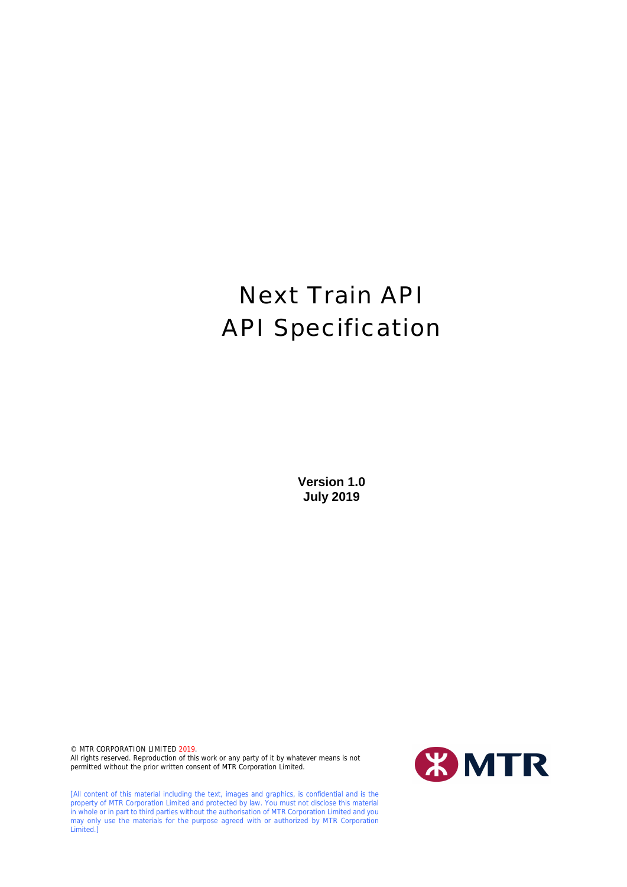# Next Train API API Specification

**Version 1.0 July 2019**

© MTR CORPORATION LIMITED 2019. All rights reserved. Reproduction of this work or any party of it by whatever means is not permitted without the prior written consent of MTR Corporation Limited.

[All content of this material including the text, images and graphics, is confidential and is the property of MTR Corporation Limited and protected by law. You must not disclose this material in whole or in part to third parties without the authorisation of MTR Corporation Limited and you may only use the materials for the purpose agreed with or authorized by MTR Corporation Limited.]

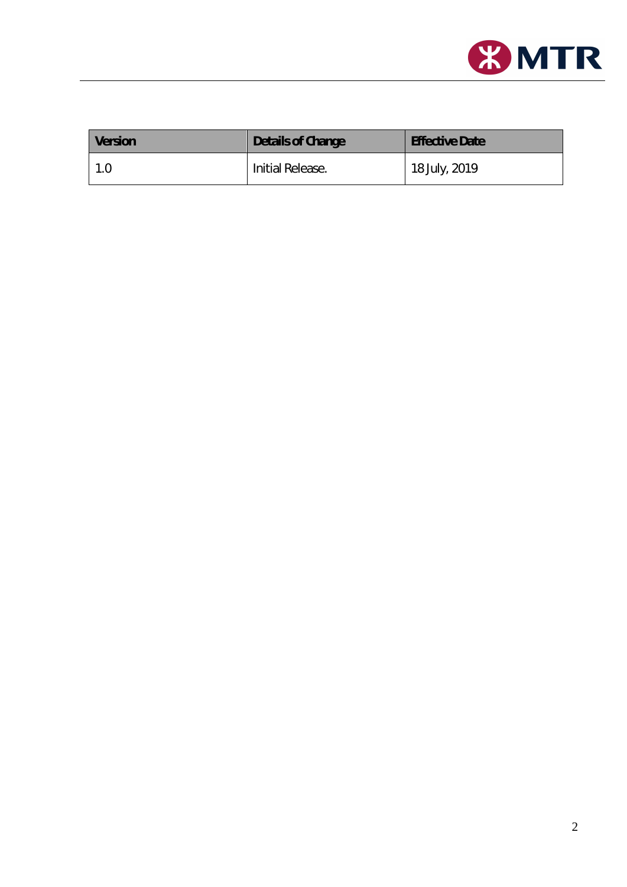

| <b>Version</b> | Details of Change | <b>Effective Date</b> |
|----------------|-------------------|-----------------------|
| 1.0            | Initial Release.  | 18 July, 2019         |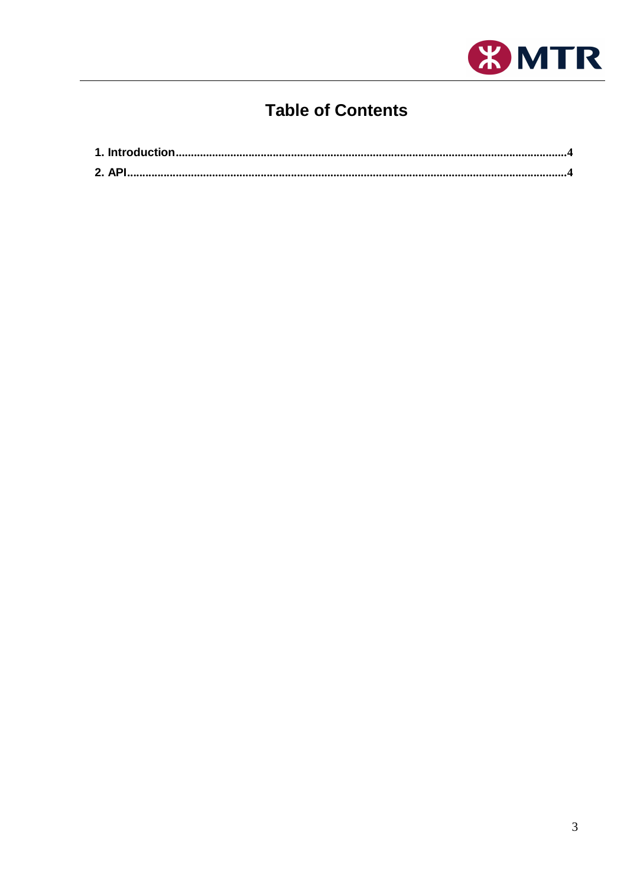

# **Table of Contents**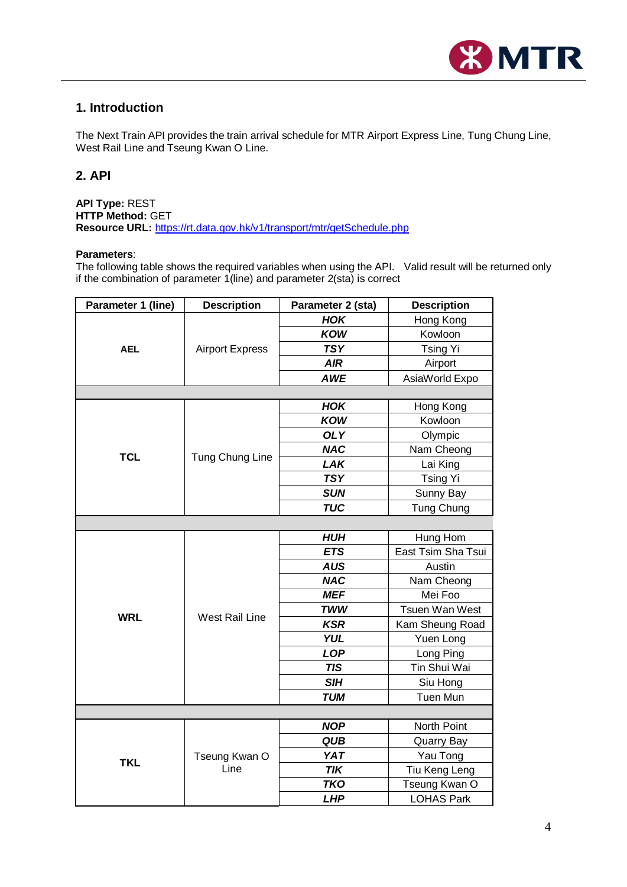

# <span id="page-3-0"></span>**1. Introduction**

The Next Train API provides the train arrival schedule for MTR Airport Express Line, Tung Chung Line, West Rail Line and Tseung Kwan O Line.

# <span id="page-3-1"></span>**2. API**

**API Type:** REST **HTTP Method:** GET **Resource URL:** <https://rt.data.gov.hk/v1/transport/mtr/getSchedule.php>

#### **Parameters**:

The following table shows the required variables when using the API. Valid result will be returned only if the combination of parameter 1(line) and parameter 2(sta) is correct

| Parameter 1 (line) | <b>Description</b>     | Parameter 2 (sta) | <b>Description</b> |  |  |
|--------------------|------------------------|-------------------|--------------------|--|--|
| <b>AEL</b>         |                        | <b>HOK</b>        | Hong Kong          |  |  |
|                    |                        | <b>KOW</b>        | Kowloon            |  |  |
|                    | <b>Airport Express</b> | <b>TSY</b>        | <b>Tsing Yi</b>    |  |  |
|                    |                        | <b>AIR</b>        | Airport            |  |  |
|                    |                        | <b>AWE</b>        | AsiaWorld Expo     |  |  |
|                    |                        |                   |                    |  |  |
|                    |                        | <b>HOK</b>        | Hong Kong          |  |  |
|                    |                        | <b>KOW</b>        | Kowloon            |  |  |
|                    |                        | <b>OLY</b>        | Olympic            |  |  |
| <b>TCL</b>         |                        | <b>NAC</b>        | Nam Cheong         |  |  |
|                    | Tung Chung Line        | LAK               | Lai King           |  |  |
|                    |                        | <b>TSY</b>        | <b>Tsing Yi</b>    |  |  |
|                    |                        | <b>SUN</b>        | Sunny Bay          |  |  |
|                    |                        | <b>TUC</b>        | Tung Chung         |  |  |
|                    |                        |                   |                    |  |  |
|                    | <b>West Rail Line</b>  | <b>HUH</b>        | Hung Hom           |  |  |
|                    |                        | <b>ETS</b>        | East Tsim Sha Tsui |  |  |
|                    |                        | <b>AUS</b>        | Austin             |  |  |
|                    |                        | <b>NAC</b>        | Nam Cheong         |  |  |
|                    |                        | <b>MEF</b>        | Mei Foo            |  |  |
| <b>WRL</b>         |                        | <b>TWW</b>        | Tsuen Wan West     |  |  |
|                    |                        | <b>KSR</b>        | Kam Sheung Road    |  |  |
|                    |                        | <b>YUL</b>        | Yuen Long          |  |  |
|                    |                        | <b>LOP</b>        | Long Ping          |  |  |
|                    |                        | <b>TIS</b>        | Tin Shui Wai       |  |  |
|                    |                        | <b>SIH</b>        | Siu Hong           |  |  |
|                    |                        | <b>TUM</b>        | <b>Tuen Mun</b>    |  |  |
|                    |                        |                   |                    |  |  |
|                    |                        | <b>NOP</b>        | North Point        |  |  |
|                    |                        | <b>QUB</b>        | Quarry Bay         |  |  |
| <b>TKL</b>         | Tseung Kwan O<br>Line  | <b>YAT</b>        | Yau Tong           |  |  |
|                    |                        | <b>TIK</b>        | Tiu Keng Leng      |  |  |
|                    |                        | <b>TKO</b>        | Tseung Kwan O      |  |  |
|                    |                        | <b>LHP</b>        | <b>LOHAS Park</b>  |  |  |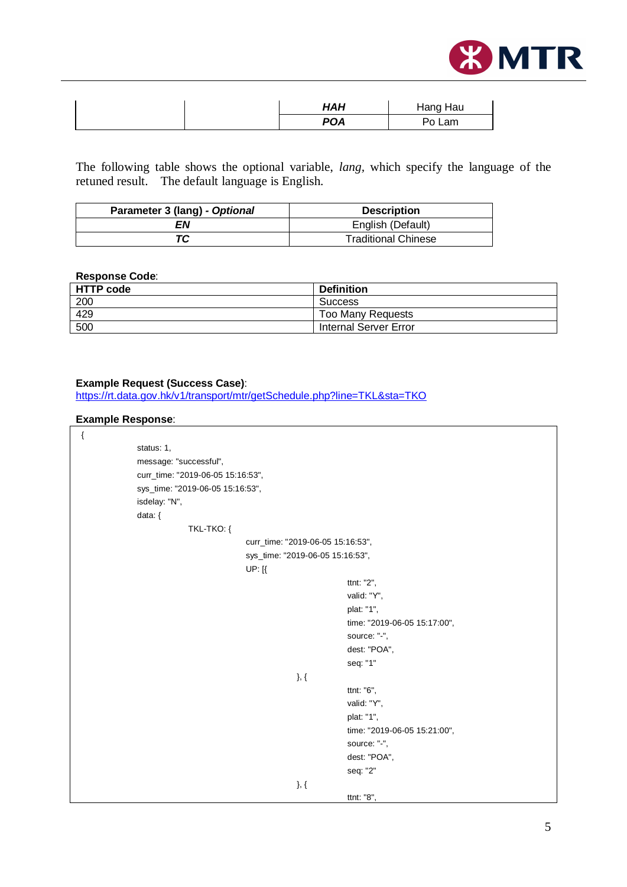

| HAH        | Hang Hau |
|------------|----------|
| <b>POA</b> | Po Lam   |

The following table shows the optional variable, *lang,* which specify the language of the retuned result. The default language is English.

| Parameter 3 (lang) - Optional | <b>Description</b>         |
|-------------------------------|----------------------------|
| ΕN                            | English (Default)          |
| ТC                            | <b>Traditional Chinese</b> |

### **Response Code**:

| <b>HTTP code</b> | <b>Definition</b>        |
|------------------|--------------------------|
| 200              | <b>Success</b>           |
| 429              | <b>Too Many Requests</b> |
| 500              | Internal Server Error    |

#### **Example Request (Success Case)**:

<https://rt.data.gov.hk/v1/transport/mtr/getSchedule.php?line=TKL&sta=TKO>

#### **Example Response**:

| { |                                   |                                   |                              |  |
|---|-----------------------------------|-----------------------------------|------------------------------|--|
|   | status: 1,                        |                                   |                              |  |
|   | message: "successful",            |                                   |                              |  |
|   | curr_time: "2019-06-05 15:16:53", |                                   |                              |  |
|   | sys_time: "2019-06-05 15:16:53",  |                                   |                              |  |
|   | isdelay: "N",                     |                                   |                              |  |
|   | data: {                           |                                   |                              |  |
|   | TKL-TKO: {                        |                                   |                              |  |
|   |                                   | curr_time: "2019-06-05 15:16:53", |                              |  |
|   |                                   | sys_time: "2019-06-05 15:16:53",  |                              |  |
|   |                                   | UP: [{                            |                              |  |
|   |                                   |                                   | ttnt: "2",                   |  |
|   |                                   |                                   | valid: "Y",                  |  |
|   |                                   |                                   | plat: "1",                   |  |
|   |                                   |                                   | time: "2019-06-05 15:17:00", |  |
|   |                                   |                                   | source: "-",                 |  |
|   |                                   |                                   | dest: "POA",                 |  |
|   |                                   |                                   | seq: "1"                     |  |
|   |                                   | $\},\{$                           |                              |  |
|   |                                   |                                   | ttnt: "6",                   |  |
|   |                                   |                                   | valid: "Y",                  |  |
|   |                                   |                                   | plat: "1",                   |  |
|   |                                   |                                   | time: "2019-06-05 15:21:00", |  |
|   |                                   |                                   | source: "-",                 |  |
|   |                                   |                                   | dest: "POA",                 |  |
|   |                                   |                                   | seq: "2"                     |  |
|   |                                   | }, $\{$                           |                              |  |
|   |                                   |                                   | ttnt: "8",                   |  |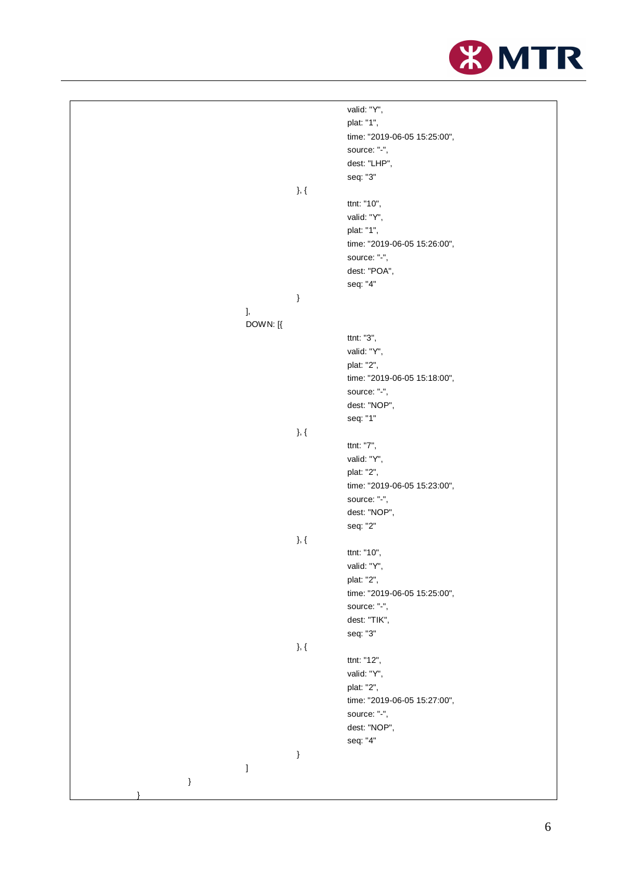

|      |                                |         | valid: "Y",                  |
|------|--------------------------------|---------|------------------------------|
|      |                                |         | plat: "1",                   |
|      |                                |         | time: "2019-06-05 15:25:00", |
|      |                                |         | source: "-",                 |
|      |                                |         | dest: "LHP",                 |
|      |                                |         | seq: "3"                     |
|      |                                |         |                              |
|      |                                | }, $\{$ |                              |
|      |                                |         | ttnt: "10",                  |
|      |                                |         | valid: "Y",                  |
|      |                                |         | plat: "1",                   |
|      |                                |         | time: "2019-06-05 15:26:00", |
|      |                                |         | source: "-",                 |
|      |                                |         | dest: "POA",                 |
|      |                                |         | seq: "4"                     |
|      |                                | }       |                              |
|      | ],                             |         |                              |
|      | DOWN: [{                       |         |                              |
|      |                                |         | ttnt: "3",                   |
|      |                                |         | valid: "Y",                  |
|      |                                |         | plat: "2",                   |
|      |                                |         | time: "2019-06-05 15:18:00", |
|      |                                |         | source: "-",                 |
|      |                                |         | dest: "NOP",                 |
|      |                                |         | seq: "1"                     |
|      |                                | }, $\{$ |                              |
|      |                                |         | ttnt: "7",                   |
|      |                                |         | valid: "Y",                  |
|      |                                |         | plat: "2",                   |
|      |                                |         | time: "2019-06-05 15:23:00", |
|      |                                |         | source: "-",                 |
|      |                                |         | dest: "NOP",                 |
|      |                                |         | seq: "2"                     |
|      |                                | }, $\{$ |                              |
|      |                                |         | ttnt: "10",                  |
|      |                                |         | valid: "Y",                  |
|      |                                |         | plat: "2",                   |
|      |                                |         | time: "2019-06-05 15:25:00", |
|      |                                |         | source: "-",                 |
|      |                                |         | dest: "TIK",                 |
|      |                                |         |                              |
|      |                                |         | seq: "3"                     |
|      |                                | }, $\{$ | ttnt: "12",                  |
|      |                                |         |                              |
|      |                                |         | valid: "Y",                  |
|      |                                |         | plat: "2",                   |
|      |                                |         | time: "2019-06-05 15:27:00", |
|      |                                |         | source: "-",                 |
|      |                                |         | dest: "NOP",                 |
|      |                                |         | seq: "4"                     |
|      |                                | $\}$    |                              |
|      | $\begin{array}{c} \end{array}$ |         |                              |
| $\}$ |                                |         |                              |
|      |                                |         |                              |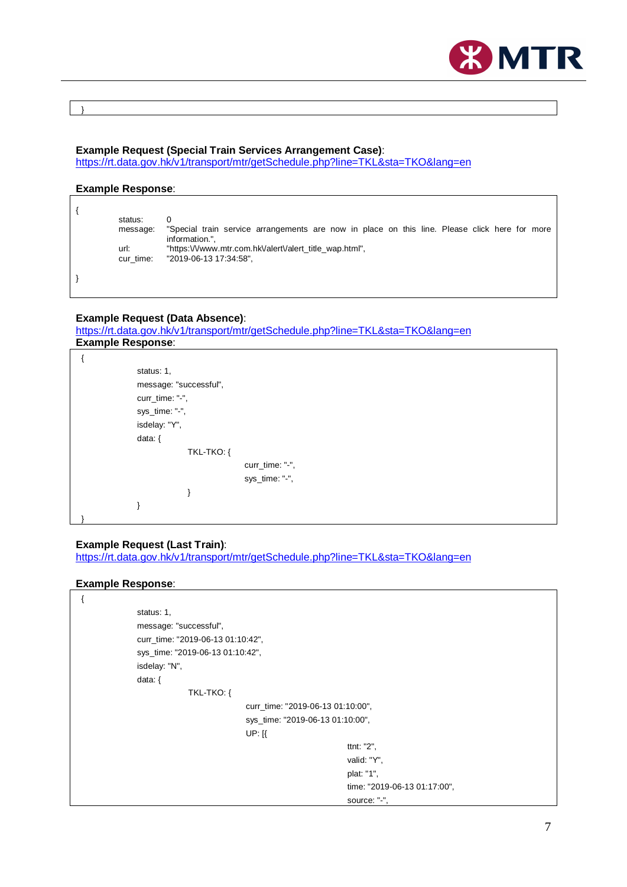

}

#### **Example Request (Special Train Services Arrangement Case)**:

<https://rt.data.gov.hk/v1/transport/mtr/getSchedule.php?line=TKL&sta=TKO&lang=en>

#### **Example Response**:

| status:<br>message: | "Special train service arrangements are now in place on this line. Please click here for more<br>information.", |
|---------------------|-----------------------------------------------------------------------------------------------------------------|
| url:<br>cur time:   | "https://www.mtr.com.hk/alert/alert_title_wap.html",<br>"2019-06-13 17:34:58",                                  |
|                     |                                                                                                                 |

## **Example Request (Data Absence)**:

<https://rt.data.gov.hk/v1/transport/mtr/getSchedule.php?line=TKL&sta=TKO&lang=en> **Example Response**:

| status: 1,             |
|------------------------|
| message: "successful", |
| curr_time: "-",        |
| sys_time: "-",         |
| isdelay: "Y",          |
| data: $\{$             |
| TKL-TKO: {             |
| curr_time: "-",        |
| sys_time: "-",         |
|                        |
|                        |
|                        |
|                        |

#### **Example Request (Last Train)**:

<https://rt.data.gov.hk/v1/transport/mtr/getSchedule.php?line=TKL&sta=TKO&lang=en>

#### **Example Response**:

| status: 1,                        |                                   |
|-----------------------------------|-----------------------------------|
| message: "successful",            |                                   |
| curr_time: "2019-06-13 01:10:42", |                                   |
| sys_time: "2019-06-13 01:10:42",  |                                   |
| isdelay: "N",                     |                                   |
| data: $\{$                        |                                   |
| TKL-TKO: {                        |                                   |
|                                   | curr_time: "2019-06-13 01:10:00", |
|                                   | sys_time: "2019-06-13 01:10:00",  |
| $UP:$ $K$                         |                                   |
|                                   | ttnt: "2",                        |
|                                   | valid: "Y",                       |
|                                   | plat: "1",                        |
|                                   | time: "2019-06-13 01:17:00",      |
|                                   | source: "-",                      |